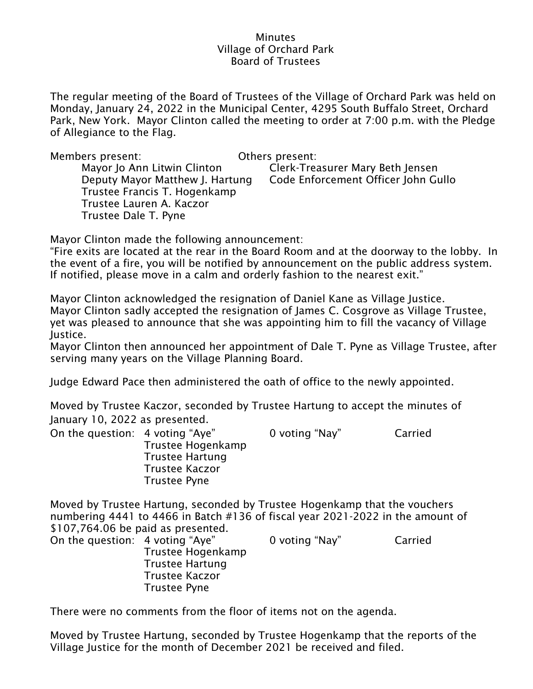## **Minutes** Village of Orchard Park Board of Trustees

The regular meeting of the Board of Trustees of the Village of Orchard Park was held on Monday, January 24, 2022 in the Municipal Center, 4295 South Buffalo Street, Orchard Park, New York. Mayor Clinton called the meeting to order at 7:00 p.m. with the Pledge of Allegiance to the Flag.

| Members present:                | Others present:                     |
|---------------------------------|-------------------------------------|
| Mayor Jo Ann Litwin Clinton     | Clerk-Treasurer Mary Beth Jensen    |
| Deputy Mayor Matthew J. Hartung | Code Enforcement Officer John Gullo |
| Trustee Francis T. Hogenkamp    |                                     |
| Trustee Lauren A. Kaczor        |                                     |
| Trustee Dale T. Pyne            |                                     |

Mayor Clinton made the following announcement:

"Fire exits are located at the rear in the Board Room and at the doorway to the lobby. In the event of a fire, you will be notified by announcement on the public address system. If notified, please move in a calm and orderly fashion to the nearest exit."

Mayor Clinton acknowledged the resignation of Daniel Kane as Village Justice. Mayor Clinton sadly accepted the resignation of James C. Cosgrove as Village Trustee, yet was pleased to announce that she was appointing him to fill the vacancy of Village Justice.

Mayor Clinton then announced her appointment of Dale T. Pyne as Village Trustee, after serving many years on the Village Planning Board.

Judge Edward Pace then administered the oath of office to the newly appointed.

Moved by Trustee Kaczor, seconded by Trustee Hartung to accept the minutes of January 10, 2022 as presented.

| On the question: 4 voting "Aye" |                        | 0 voting "Nay" | Carried |
|---------------------------------|------------------------|----------------|---------|
|                                 | Trustee Hogenkamp      |                |         |
|                                 | <b>Trustee Hartung</b> |                |         |
|                                 | Trustee Kaczor         |                |         |
|                                 | Trustee Pyne           |                |         |

Moved by Trustee Hartung, seconded by Trustee Hogenkamp that the vouchers numbering 4441 to 4466 in Batch #136 of fiscal year 2021-2022 in the amount of \$107,764.06 be paid as presented.

| On the question: 4 voting "Aye" |                        | 0 voting "Nay" | Carried |
|---------------------------------|------------------------|----------------|---------|
|                                 | Trustee Hogenkamp      |                |         |
|                                 | <b>Trustee Hartung</b> |                |         |
|                                 | Trustee Kaczor         |                |         |
|                                 | Trustee Pyne           |                |         |

There were no comments from the floor of items not on the agenda.

Moved by Trustee Hartung, seconded by Trustee Hogenkamp that the reports of the Village Justice for the month of December 2021 be received and filed.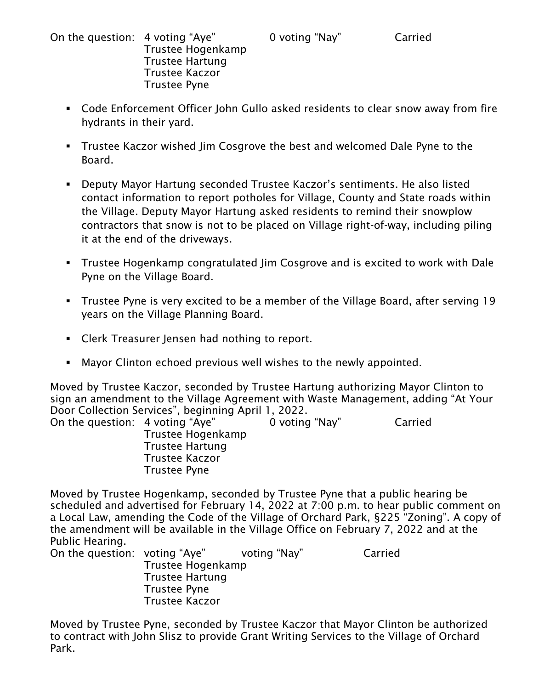On the question: 4 voting "Aye" 0 voting "Nay" Carried Trustee Hogenkamp Trustee Hartung Trustee Kaczor Trustee Pyne

- Code Enforcement Officer John Gullo asked residents to clear snow away from fire hydrants in their yard.
- **•** Trustee Kaczor wished Jim Cosgrove the best and welcomed Dale Pyne to the Board.
- Deputy Mayor Hartung seconded Trustee Kaczor's sentiments. He also listed contact information to report potholes for Village, County and State roads within the Village. Deputy Mayor Hartung asked residents to remind their snowplow contractors that snow is not to be placed on Village right-of-way, including piling it at the end of the driveways.
- Trustee Hogenkamp congratulated Jim Cosgrove and is excited to work with Dale Pyne on the Village Board.
- Trustee Pyne is very excited to be a member of the Village Board, after serving 19 years on the Village Planning Board.
- Clerk Treasurer Jensen had nothing to report.
- Mayor Clinton echoed previous well wishes to the newly appointed.

Moved by Trustee Kaczor, seconded by Trustee Hartung authorizing Mayor Clinton to sign an amendment to the Village Agreement with Waste Management, adding "At Your Door Collection Services", beginning April 1, 2022.

| On the question: 4 voting "Aye" |                        | 0 voting "Nay" | Carried |
|---------------------------------|------------------------|----------------|---------|
|                                 | Trustee Hogenkamp      |                |         |
|                                 | <b>Trustee Hartung</b> |                |         |
|                                 | <b>Trustee Kaczor</b>  |                |         |
|                                 | <b>Trustee Pyne</b>    |                |         |

Moved by Trustee Hogenkamp, seconded by Trustee Pyne that a public hearing be scheduled and advertised for February 14, 2022 at 7:00 p.m. to hear public comment on a Local Law, amending the Code of the Village of Orchard Park, §225 "Zoning". A copy of the amendment will be available in the Village Office on February 7, 2022 and at the Public Hearing.

| On the question: voting "Aye" |                        | voting "Nay" | Carried |
|-------------------------------|------------------------|--------------|---------|
|                               | Trustee Hogenkamp      |              |         |
|                               | <b>Trustee Hartung</b> |              |         |
|                               | <b>Trustee Pyne</b>    |              |         |
|                               | <b>Trustee Kaczor</b>  |              |         |

Moved by Trustee Pyne, seconded by Trustee Kaczor that Mayor Clinton be authorized to contract with John Slisz to provide Grant Writing Services to the Village of Orchard Park.